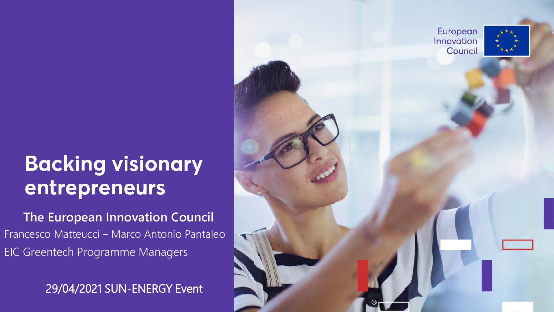## **Backing visionary** entrepreneurs

**The European Innovation Council** Francesco Matteucci – Marco Antonio Pantaleo EIC Greentech Programme Managers

29/04/2021 SUN -ENERGY Event

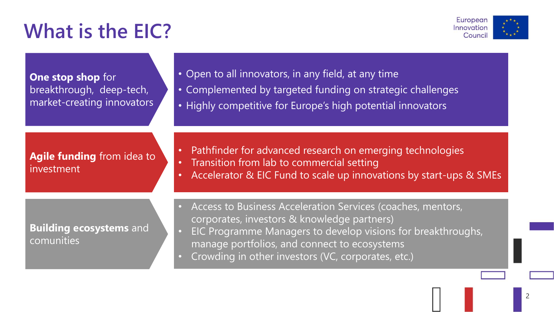## **What is the EIC?**



**One stop shop** for breakthrough, deep-tech, market-creating innovators • Open to all innovators, in any field, at any time

- Complemented by targeted funding on strategic challenges
- Highly competitive for Europe's high potential innovators

**Agile funding** from idea to investment

• Pathfinder for advanced research on emerging technologies

- Transition from lab to commercial setting
- Accelerator & EIC Fund to scale up innovations by start-ups & SMEs

**Building ecosystems** and comunities

- Access to Business Acceleration Services (coaches, mentors, corporates, investors & knowledge partners)
- EIC Programme Managers to develop visions for breakthroughs, manage portfolios, and connect to ecosystems
- Crowding in other investors (VC, corporates, etc.)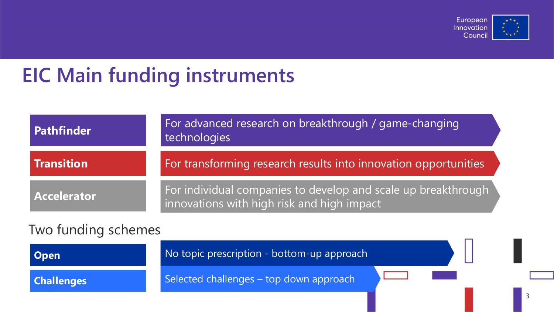

3

#### **EIC Main funding instruments**

| <b>Pathfinder</b>   | For advanced research on breakthrough / game-changing<br>technologies                                       |  |
|---------------------|-------------------------------------------------------------------------------------------------------------|--|
| <b>Transition</b>   | For transforming research results into innovation opportunities                                             |  |
| <b>Accelerator</b>  | For individual companies to develop and scale up breakthrough<br>innovations with high risk and high impact |  |
| Two funding schemes |                                                                                                             |  |

| <b>Open</b>       | No topic prescription - bottom-up approach |  |  |
|-------------------|--------------------------------------------|--|--|
| <b>Challenges</b> | Selected challenges - top down approach    |  |  |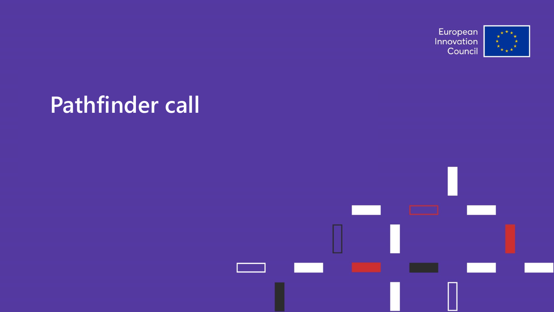

# **Pathfinder call**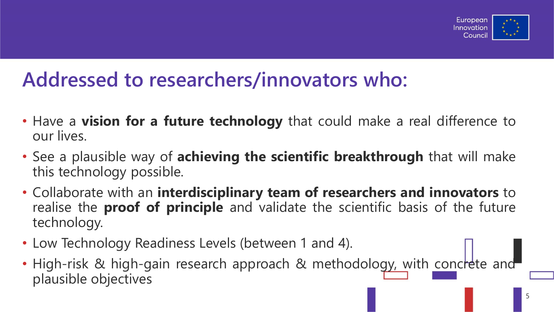

#### **Addressed to researchers/innovators who:**

- Have a **vision for a future technology** that could make a real difference to our lives.
- See a plausible way of **achieving the scientific breakthrough** that will make this technology possible.
- Collaborate with an **interdisciplinary team of researchers and innovators** to realise the **proof of principle** and validate the scientific basis of the future technology.
- Low Technology Readiness Levels (between 1 and 4).
- High-risk & high-gain research approach & methodology, with concrete and plausible objectives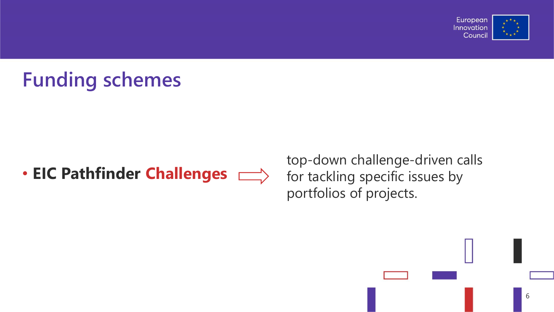

## **Funding schemes**

#### • **EIC Pathfinder Challenges**

top-down challenge-driven calls for tackling specific issues by portfolios of projects.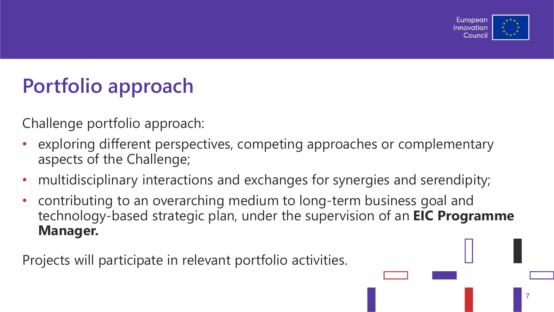

# **Portfolio approach**

Challenge portfolio approach:

- exploring different perspectives, competing approaches or complementary aspects of the Challenge;
- multidisciplinary interactions and exchanges for synergies and serendipity;
- contributing to an overarching medium to long-term business goal and technology-based strategic plan, under the supervision of an **EIC Programme Manager.**

Projects will participate in relevant portfolio activities.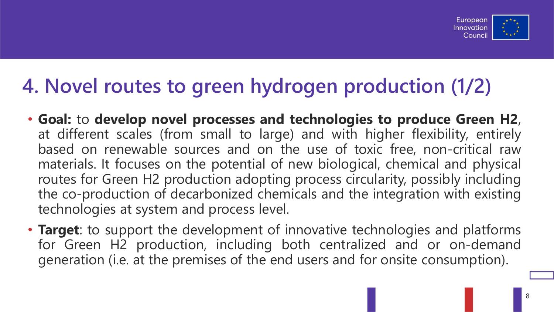

### **4. Novel routes to green hydrogen production (1/2)**

- **Goal:** to **develop novel processes and technologies to produce Green H2**, at different scales (from small to large) and with higher flexibility, entirely based on renewable sources and on the use of toxic free, non-critical raw materials. It focuses on the potential of new biological, chemical and physical routes for Green H2 production adopting process circularity, possibly including the co-production of decarbonized chemicals and the integration with existing technologies at system and process level.
- **Target**: to support the development of innovative technologies and platforms for Green H2 production, including both centralized and or on-demand generation (i.e. at the premises of the end users and for onsite consumption).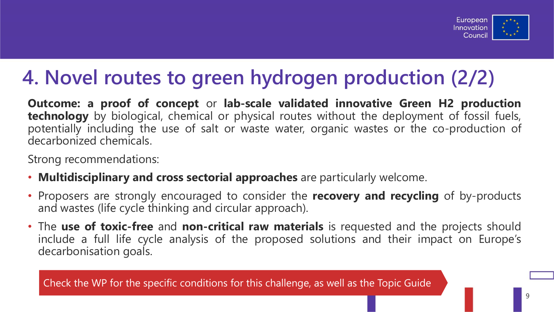

#### **4. Novel routes to green hydrogen production (2/2)**

**Outcome: a proof of concept** or **lab-scale validated innovative Green H2 production technology** by biological, chemical or physical routes without the deployment of fossil fuels, potentially including the use of salt or waste water, organic wastes or the co-production of decarbonized chemicals.

Strong recommendations:

- **Multidisciplinary and cross sectorial approaches** are particularly welcome.
- Proposers are strongly encouraged to consider the **recovery and recycling** of by-products and wastes (life cycle thinking and circular approach).
- The **use of toxic-free** and **non-critical raw materials** is requested and the projects should include a full life cycle analysis of the proposed solutions and their impact on Europe's decarbonisation goals.

Check the WP for the specific conditions for this challenge, as well as the Topic Guide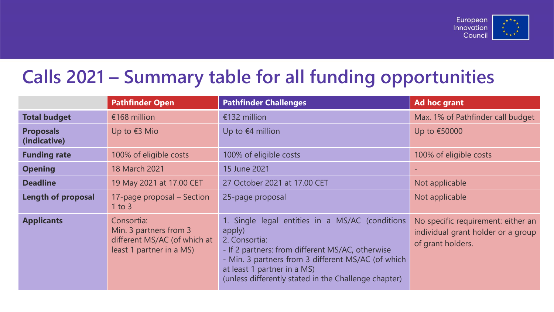

#### **Calls 2021 – Summary table for all funding opportunities**

|                                  | <b>Pathfinder Open</b>                                                                           | <b>Pathfinder Challenges</b>                                                                                                                                                                                                                                                | Ad hoc grant                                                                                  |
|----------------------------------|--------------------------------------------------------------------------------------------------|-----------------------------------------------------------------------------------------------------------------------------------------------------------------------------------------------------------------------------------------------------------------------------|-----------------------------------------------------------------------------------------------|
| <b>Total budget</b>              | €168 million                                                                                     | €132 million                                                                                                                                                                                                                                                                | Max. 1% of Pathfinder call budget                                                             |
| <b>Proposals</b><br>(indicative) | Up to $63$ Mio                                                                                   | Up to $64$ million                                                                                                                                                                                                                                                          | Up to €50000                                                                                  |
| <b>Funding rate</b>              | 100% of eligible costs                                                                           | 100% of eligible costs                                                                                                                                                                                                                                                      | 100% of eligible costs                                                                        |
| <b>Opening</b>                   | 18 March 2021                                                                                    | 15 June 2021                                                                                                                                                                                                                                                                |                                                                                               |
| <b>Deadline</b>                  | 19 May 2021 at 17.00 CET                                                                         | 27 October 2021 at 17.00 CET                                                                                                                                                                                                                                                | Not applicable                                                                                |
| Length of proposal               | 17-page proposal - Section<br>$1$ to $3$                                                         | 25-page proposal                                                                                                                                                                                                                                                            | Not applicable                                                                                |
| <b>Applicants</b>                | Consortia:<br>Min. 3 partners from 3<br>different MS/AC (of which at<br>least 1 partner in a MS) | 1. Single legal entities in a MS/AC (conditions<br>apply)<br>2. Consortia:<br>- If 2 partners: from different MS/AC, otherwise<br>- Min. 3 partners from 3 different MS/AC (of which<br>at least 1 partner in a MS)<br>(unless differently stated in the Challenge chapter) | No specific requirement: either an<br>individual grant holder or a group<br>of grant holders. |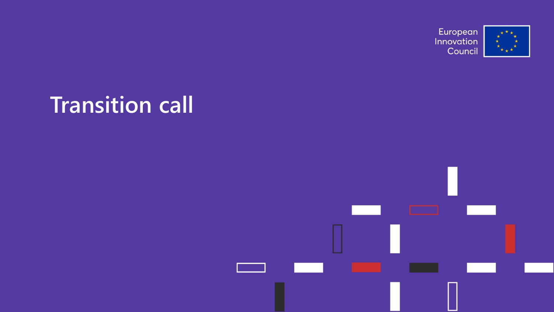

# **Transition call**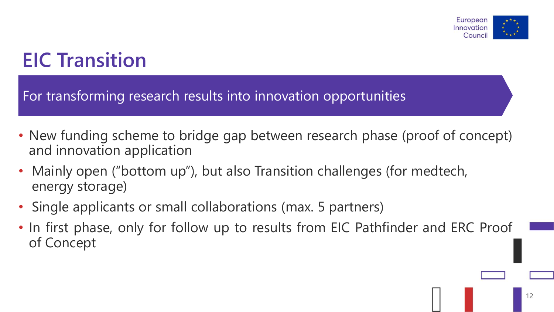

#### **EIC Transition**

For transforming research results into innovation opportunities

- New funding scheme to bridge gap between research phase (proof of concept) and innovation application
- Mainly open ("bottom up"), but also Transition challenges (for medtech, energy storage)
- Single applicants or small collaborations (max. 5 partners)
- In first phase, only for follow up to results from EIC Pathfinder and ERC Proof of Concept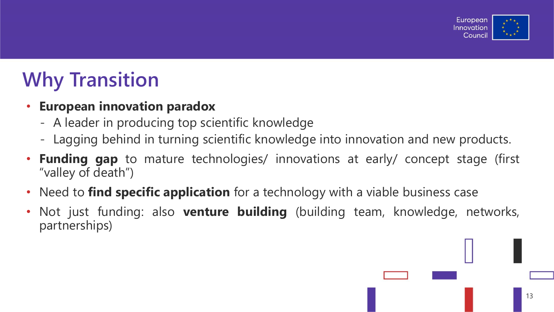

### **Why Transition**

#### • **European innovation paradox**

- A leader in producing top scientific knowledge
- Lagging behind in turning scientific knowledge into innovation and new products.
- **Funding gap** to mature technologies/ innovations at early/ concept stage (first "valley of death")
- Need to **find specific application** for a technology with a viable business case
- Not just funding: also **venture building** (building team, knowledge, networks, partnerships)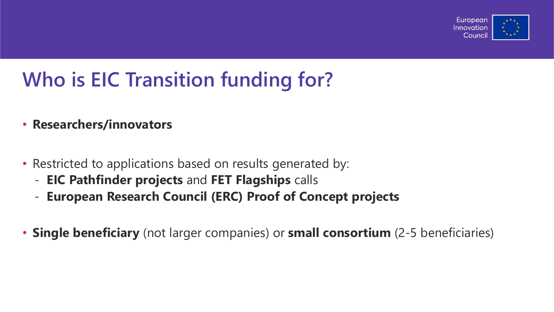

## **Who is EIC Transition funding for?**

- **Researchers/innovators**
- Restricted to applications based on results generated by:
	- **EIC Pathfinder projects** and **FET Flagships** calls
	- **European Research Council (ERC) Proof of Concept projects**
- **Single beneficiary** (not larger companies) or **small consortium** (2-5 beneficiaries)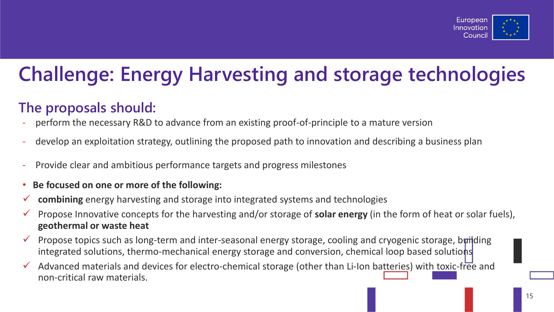

## **Challenge: Energy Harvesting and storage technologies**

#### **The proposals should:**

- perform the necessary R&D to advance from an existing proof-of-principle to a mature version
- develop an exploitation strategy, outlining the proposed path to innovation and describing a business plan
- Provide clear and ambitious performance targets and progress milestones
- **Be focused on one or more of the following:**
- ✓ **combining** energy harvesting and storage into integrated systems and technologies
- ✓ Propose Innovative concepts for the harvesting and/or storage of **solar energy** (in the form of heat or solar fuels), **geothermal or waste heat**
- $\checkmark$  Propose topics such as long-term and inter-seasonal energy storage, cooling and cryogenic storage, building integrated solutions, thermo-mechanical energy storage and conversion, chemical loop based solutions
- $\checkmark$  Advanced materials and devices for electro-chemical storage (other than Li-Ion batteries) with toxic-free and non-critical raw materials.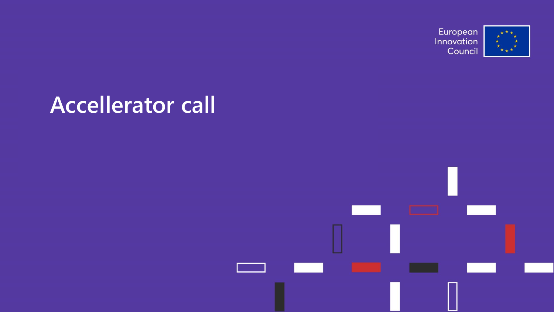

# **Accellerator call**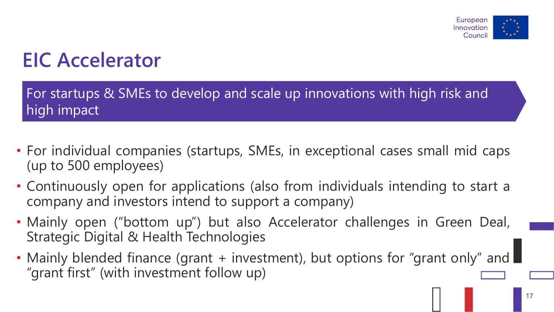

#### **EIC Accelerator**

For startups & SMEs to develop and scale up innovations with high risk and high impact

- For individual companies (startups, SMEs, in exceptional cases small mid caps (up to 500 employees)
- Continuously open for applications (also from individuals intending to start a company and investors intend to support a company)
- Mainly open ("bottom up") but also Accelerator challenges in Green Deal, Strategic Digital & Health Technologies
- Mainly blended finance (grant + investment), but options for "grant only" and "grant first" (with investment follow up)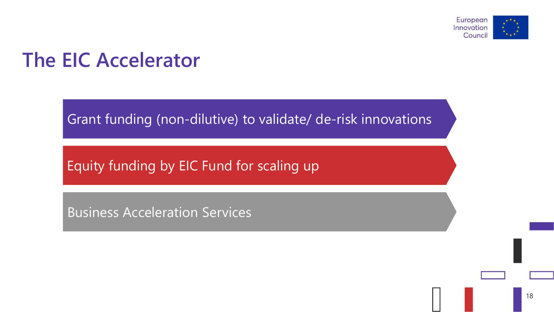

#### **The EIC Accelerator**

Grant funding (non-dilutive) to validate/ de-risk innovations

Equity funding by EIC Fund for scaling up

Business Acceleration Services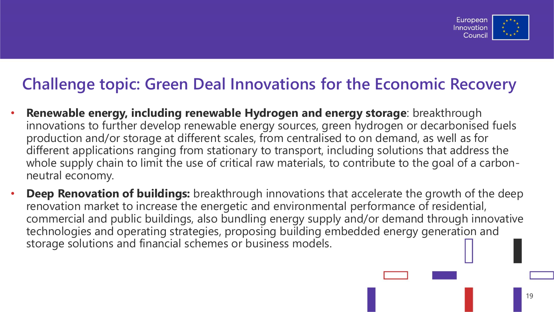

#### **Challenge topic: Green Deal Innovations for the Economic Recovery**

- **Renewable energy, including renewable Hydrogen and energy storage**: breakthrough innovations to further develop renewable energy sources, green hydrogen or decarbonised fuels production and/or storage at different scales, from centralised to on demand, as well as for different applications ranging from stationary to transport, including solutions that address the whole supply chain to limit the use of critical raw materials, to contribute to the goal of a carbonneutral economy.
- **Deep Renovation of buildings:** breakthrough innovations that accelerate the growth of the deep renovation market to increase the energetic and environmental performance of residential, commercial and public buildings, also bundling energy supply and/or demand through innovative technologies and operating strategies, proposing building embedded energy generation and storage solutions and financial schemes or business models.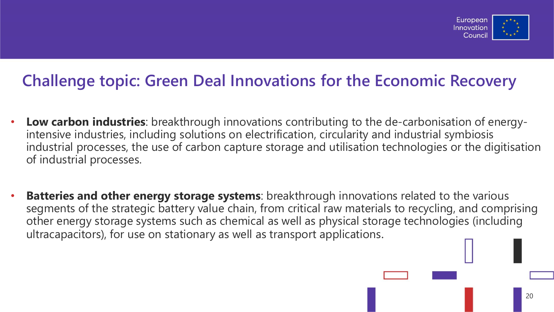

#### **Challenge topic: Green Deal Innovations for the Economic Recovery**

- **Low carbon industries**: breakthrough innovations contributing to the de-carbonisation of energyintensive industries, including solutions on electrification, circularity and industrial symbiosis industrial processes, the use of carbon capture storage and utilisation technologies or the digitisation of industrial processes.
- **Batteries and other energy storage systems**: breakthrough innovations related to the various segments of the strategic battery value chain, from critical raw materials to recycling, and comprising other energy storage systems such as chemical as well as physical storage technologies (including ultracapacitors), for use on stationary as well as transport applications.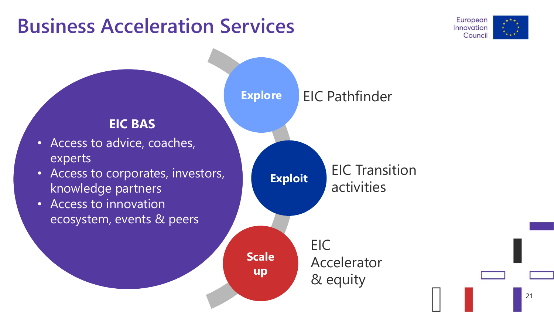#### **Business Acceleration Services**



21

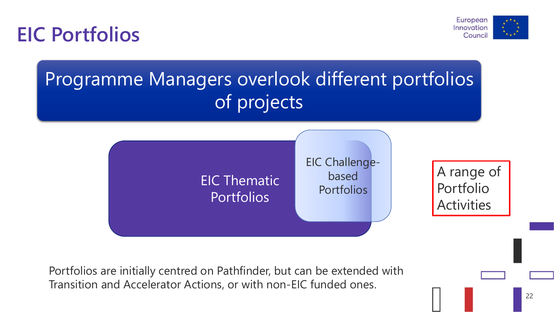**EIC Portfolios**



## Programme Managers overlook different portfolios of projects



Portfolios are initially centred on Pathfinder, but can be extended with Transition and Accelerator Actions, or with non-EIC funded ones.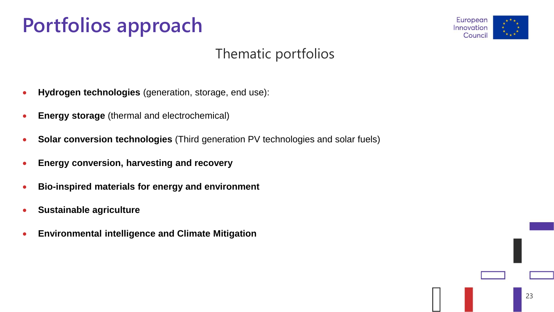# **Portfolios approach**



#### Thematic portfolios

- **Hydrogen technologies** (generation, storage, end use):
- **Energy storage** (thermal and electrochemical)
- **Solar conversion technologies** (Third generation PV technologies and solar fuels)
- **Energy conversion, harvesting and recovery**
- **Bio-inspired materials for energy and environment**
- **Sustainable agriculture**
- **Environmental intelligence and Climate Mitigation**